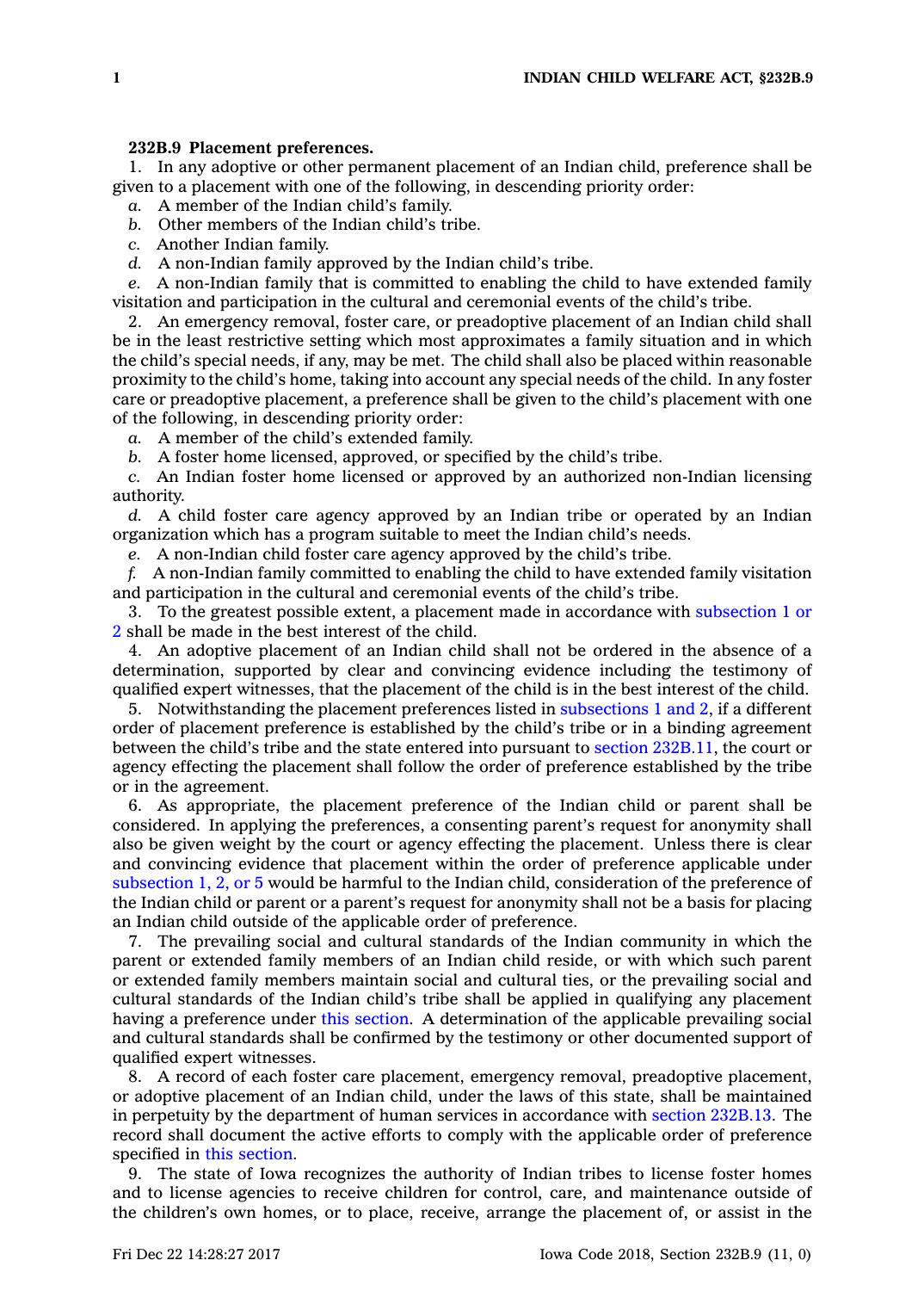## **232B.9 Placement preferences.**

1. In any adoptive or other permanent placement of an Indian child, preference shall be given to <sup>a</sup> placement with one of the following, in descending priority order:

*a.* A member of the Indian child's family.

*b.* Other members of the Indian child's tribe.

*c.* Another Indian family.

*d.* A non-Indian family approved by the Indian child's tribe.

*e.* A non-Indian family that is committed to enabling the child to have extended family visitation and participation in the cultural and ceremonial events of the child's tribe.

2. An emergency removal, foster care, or preadoptive placement of an Indian child shall be in the least restrictive setting which most approximates <sup>a</sup> family situation and in which the child's special needs, if any, may be met. The child shall also be placed within reasonable proximity to the child's home, taking into account any special needs of the child. In any foster care or preadoptive placement, <sup>a</sup> preference shall be given to the child's placement with one of the following, in descending priority order:

*a.* A member of the child's extended family.

*b.* A foster home licensed, approved, or specified by the child's tribe.

*c.* An Indian foster home licensed or approved by an authorized non-Indian licensing authority.

*d.* A child foster care agency approved by an Indian tribe or operated by an Indian organization which has <sup>a</sup> program suitable to meet the Indian child's needs.

*e.* A non-Indian child foster care agency approved by the child's tribe.

*f.* A non-Indian family committed to enabling the child to have extended family visitation and participation in the cultural and ceremonial events of the child's tribe.

3. To the greatest possible extent, <sup>a</sup> placement made in accordance with [subsection](https://www.legis.iowa.gov/docs/code/232B.9.pdf) 1 or [2](https://www.legis.iowa.gov/docs/code/232B.9.pdf) shall be made in the best interest of the child.

4. An adoptive placement of an Indian child shall not be ordered in the absence of <sup>a</sup> determination, supported by clear and convincing evidence including the testimony of qualified expert witnesses, that the placement of the child is in the best interest of the child.

5. Notwithstanding the placement preferences listed in [subsections](https://www.legis.iowa.gov/docs/code/232B.9.pdf) 1 and 2, if <sup>a</sup> different order of placement preference is established by the child's tribe or in <sup>a</sup> binding agreement between the child's tribe and the state entered into pursuant to section [232B.11](https://www.legis.iowa.gov/docs/code/232B.11.pdf), the court or agency effecting the placement shall follow the order of preference established by the tribe or in the agreement.

6. As appropriate, the placement preference of the Indian child or parent shall be considered. In applying the preferences, <sup>a</sup> consenting parent's request for anonymity shall also be given weight by the court or agency effecting the placement. Unless there is clear and convincing evidence that placement within the order of preference applicable under [subsection](https://www.legis.iowa.gov/docs/code/232B.9.pdf) 1, 2, or 5 would be harmful to the Indian child, consideration of the preference of the Indian child or parent or <sup>a</sup> parent's request for anonymity shall not be <sup>a</sup> basis for placing an Indian child outside of the applicable order of preference.

7. The prevailing social and cultural standards of the Indian community in which the parent or extended family members of an Indian child reside, or with which such parent or extended family members maintain social and cultural ties, or the prevailing social and cultural standards of the Indian child's tribe shall be applied in qualifying any placement having <sup>a</sup> preference under this [section](https://www.legis.iowa.gov/docs/code/232B.9.pdf). A determination of the applicable prevailing social and cultural standards shall be confirmed by the testimony or other documented support of qualified expert witnesses.

8. A record of each foster care placement, emergency removal, preadoptive placement, or adoptive placement of an Indian child, under the laws of this state, shall be maintained in perpetuity by the department of human services in accordance with section [232B.13](https://www.legis.iowa.gov/docs/code/232B.13.pdf). The record shall document the active efforts to comply with the applicable order of preference specified in this [section](https://www.legis.iowa.gov/docs/code/232B.9.pdf).

9. The state of Iowa recognizes the authority of Indian tribes to license foster homes and to license agencies to receive children for control, care, and maintenance outside of the children's own homes, or to place, receive, arrange the placement of, or assist in the